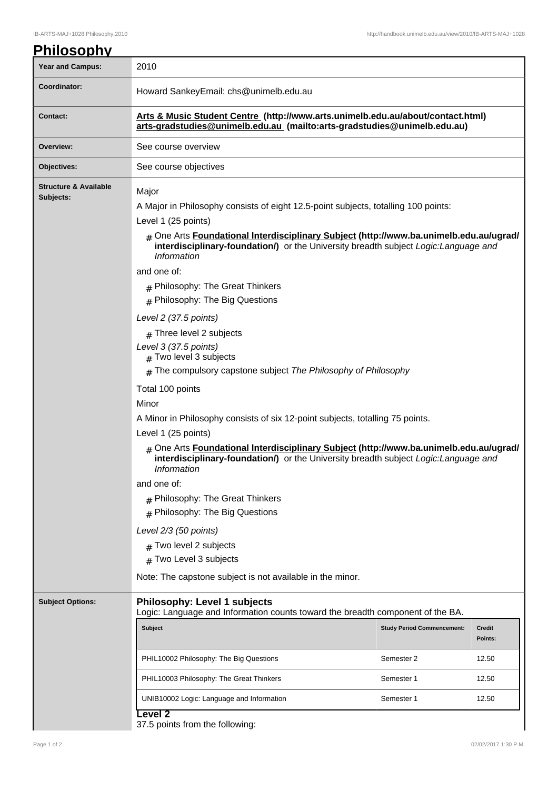| <b>Philosophy</b>                             |                                                                                                                                                                                                              |                                   |                          |  |
|-----------------------------------------------|--------------------------------------------------------------------------------------------------------------------------------------------------------------------------------------------------------------|-----------------------------------|--------------------------|--|
| <b>Year and Campus:</b>                       | 2010                                                                                                                                                                                                         |                                   |                          |  |
| Coordinator:                                  | Howard SankeyEmail: chs@unimelb.edu.au                                                                                                                                                                       |                                   |                          |  |
| <b>Contact:</b>                               | Arts & Music Student Centre (http://www.arts.unimelb.edu.au/about/contact.html)<br>arts-gradstudies@unimelb.edu.au (mailto:arts-gradstudies@unimelb.edu.au)                                                  |                                   |                          |  |
| Overview:                                     | See course overview                                                                                                                                                                                          |                                   |                          |  |
| Objectives:                                   | See course objectives                                                                                                                                                                                        |                                   |                          |  |
| <b>Structure &amp; Available</b><br>Subjects: | Major<br>A Major in Philosophy consists of eight 12.5-point subjects, totalling 100 points:<br>Level 1 (25 points)<br># One Arts Foundational Interdisciplinary Subject (http://www.ba.unimelb.edu.au/ugrad/ |                                   |                          |  |
|                                               | interdisciplinary-foundation/) or the University breadth subject Logic: Language and<br>Information<br>and one of:<br>$#$ Philosophy: The Great Thinkers<br>$#$ Philosophy: The Big Questions                |                                   |                          |  |
|                                               | Level 2 (37.5 points)                                                                                                                                                                                        |                                   |                          |  |
|                                               | $#$ Three level 2 subjects                                                                                                                                                                                   |                                   |                          |  |
|                                               | Level 3 (37.5 points)<br># Two level 3 subjects                                                                                                                                                              |                                   |                          |  |
|                                               | $#$ The compulsory capstone subject The Philosophy of Philosophy                                                                                                                                             |                                   |                          |  |
|                                               | Total 100 points                                                                                                                                                                                             |                                   |                          |  |
|                                               | Minor                                                                                                                                                                                                        |                                   |                          |  |
|                                               | A Minor in Philosophy consists of six 12-point subjects, totalling 75 points.                                                                                                                                |                                   |                          |  |
|                                               | Level 1 (25 points)                                                                                                                                                                                          |                                   |                          |  |
|                                               | # One Arts Foundational Interdisciplinary Subject (http://www.ba.unimelb.edu.au/ugrad/<br>interdisciplinary-foundation/) or the University breadth subject Logic: Language and<br>Information                |                                   |                          |  |
|                                               | and one of:                                                                                                                                                                                                  |                                   |                          |  |
|                                               | $#$ Philosophy: The Great Thinkers                                                                                                                                                                           |                                   |                          |  |
|                                               | # Philosophy: The Big Questions                                                                                                                                                                              |                                   |                          |  |
|                                               | Level 2/3 (50 points)                                                                                                                                                                                        |                                   |                          |  |
|                                               | $#$ Two level 2 subjects                                                                                                                                                                                     |                                   |                          |  |
|                                               | $#$ Two Level 3 subjects                                                                                                                                                                                     |                                   |                          |  |
|                                               | Note: The capstone subject is not available in the minor.                                                                                                                                                    |                                   |                          |  |
| <b>Subject Options:</b>                       | <b>Philosophy: Level 1 subjects</b><br>Logic: Language and Information counts toward the breadth component of the BA.                                                                                        |                                   |                          |  |
|                                               | <b>Subject</b>                                                                                                                                                                                               | <b>Study Period Commencement:</b> | <b>Credit</b><br>Points: |  |
|                                               | PHIL10002 Philosophy: The Big Questions                                                                                                                                                                      | Semester 2                        | 12.50                    |  |
|                                               | PHIL10003 Philosophy: The Great Thinkers                                                                                                                                                                     | Semester 1                        | 12.50                    |  |
|                                               | UNIB10002 Logic: Language and Information                                                                                                                                                                    | Semester 1                        | 12.50                    |  |
|                                               | Level 2<br>37.5 points from the following:                                                                                                                                                                   |                                   |                          |  |

 $\overline{\phantom{a}}$